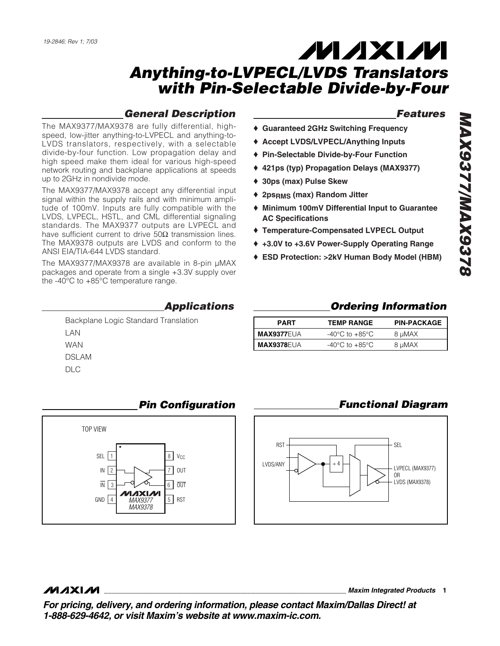## *General Description*

The MAX9377/MAX9378 are fully differential, highspeed, low-jitter anything-to-LVPECL and anything-to-LVDS translators, respectively, with a selectable divide-by-four function. Low propagation delay and high speed make them ideal for various high-speed network routing and backplane applications at speeds up to 2GHz in nondivide mode.

The MAX9377/MAX9378 accept any differential input signal within the supply rails and with minimum amplitude of 100mV. Inputs are fully compatible with the LVDS, LVPECL, HSTL, and CML differential signaling standards. The MAX9377 outputs are LVPECL and have sufficient current to drive  $50Ω$  transmission lines. The MAX9378 outputs are LVDS and conform to the ANSI EIA/TIA-644 LVDS standard.

The MAX9377/MAX9378 are available in 8-pin µMAX packages and operate from a single +3.3V supply over the -40°C to +85°C temperature range.

#### *Applications*

Backplane Logic Standard Translation LAN WAN DSLAM  $DIC$ 



## *Pin Configuration*

#### *Features*

- ♦ **Guaranteed 2GHz Switching Frequency**
- ♦ **Accept LVDS/LVPECL/Anything Inputs**
- ♦ **Pin-Selectable Divide-by-Four Function**
- ♦ **421ps (typ) Propagation Delays (MAX9377)**
- ♦ **30ps (max) Pulse Skew**
- ♦ **2psRMS (max) Random Jitter**
- ♦ **Minimum 100mV Differential Input to Guarantee AC Specifications**
- ♦ **Temperature-Compensated LVPECL Output**
- ♦ **+3.0V to +3.6V Power-Supply Operating Range**
- ♦ **ESD Protection: >2kV Human Body Model (HBM)**

### *Ordering Information*

| <b>PART</b>       | <b>TEMP RANGE</b>                  | <b>PIN-PACKAGE</b> |
|-------------------|------------------------------------|--------------------|
| <b>MAX9377EUA</b> | $-40^{\circ}$ C to $+85^{\circ}$ C | 8 µMAX             |
| MAX9378EUA        | $-40^{\circ}$ C to $+85^{\circ}$ C | 8 µMAX             |

### *Functional Diagram*



#### **MAXIM**

**\_\_\_\_\_\_\_\_\_\_\_\_\_\_\_\_\_\_\_\_\_\_\_\_\_\_\_\_\_\_\_\_\_\_\_\_\_\_\_\_\_\_\_\_\_\_\_\_\_\_\_\_\_\_\_\_\_\_\_\_\_\_\_\_** *Maxim Integrated Products* **1**

*For pricing, delivery, and ordering information, please contact Maxim/Dallas Direct! at 1-888-629-4642, or visit Maxim's website at www.maxim-ic.com.*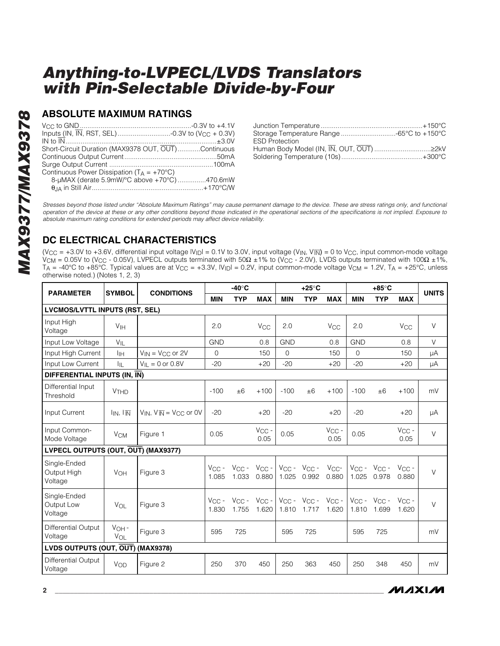#### **ABSOLUTE MAXIMUM RATINGS**

| Short-Circuit Duration (MAX9378 OUT, OUT)Continuous |  |
|-----------------------------------------------------|--|
|                                                     |  |
|                                                     |  |
| Continuous Power Dissipation $(T_A = +70^{\circ}C)$ |  |
| 8-µMAX (derate 5.9mW/°C above +70°C) 470.6mW        |  |
|                                                     |  |
|                                                     |  |

| <b>ESD Protection</b> |  |
|-----------------------|--|
|                       |  |
|                       |  |

*Stresses beyond those listed under "Absolute Maximum Ratings" may cause permanent damage to the device. These are stress ratings only, and functional operation of the device at these or any other conditions beyond those indicated in the operational sections of the specifications is not implied. Exposure to absolute maximum rating conditions for extended periods may affect device reliability.*

## **DC ELECTRICAL CHARACTERISTICS**

(V<sub>CC</sub> = +3.0V to +3.6V, differential input voltage  $|V_{\text{ID}}|$  = 0.1V to 3.0V, input voltage (V<sub>IN</sub>, V<sub>IN</sub>) = 0 to V<sub>CC</sub>, input common-mode voltage  $V_{\sf CM}$  = 0.05V to (V<sub>CC</sub> - 0.05V), LVPECL outputs terminated with 50Ω ±1% to (V<sub>CC</sub> - 2.0V), LVDS outputs terminated with 100Ω ±1%, T<sub>A</sub> = -40°C to +85°C. Typical values are at V<sub>CC</sub> = +3.3V, IV<sub>ID</sub>I = 0.2V, input common-mode voltage V<sub>CM</sub> = 1.2V, T<sub>A</sub> = +25°C, unless otherwise noted.) (Notes 1, 2, 3)

| <b>PARAMETER</b>                       | <b>SYMBOL</b>                 | <b>CONDITIONS</b>                  | $-40^\circ C$              |                     |                                | $+25^{\circ}$ C |                                           |                          | $+85^\circ$ C |                                |                       | <b>UNITS</b> |
|----------------------------------------|-------------------------------|------------------------------------|----------------------------|---------------------|--------------------------------|-----------------|-------------------------------------------|--------------------------|---------------|--------------------------------|-----------------------|--------------|
|                                        |                               |                                    | <b>MIN</b>                 | <b>TYP</b>          | <b>MAX</b>                     | <b>MIN</b>      | <b>TYP</b>                                | <b>MAX</b>               | <b>MIN</b>    | <b>TYP</b>                     | <b>MAX</b>            |              |
| <b>LVCMOS/LVTTL INPUTS (RST, SEL)</b>  |                               |                                    |                            |                     |                                |                 |                                           |                          |               |                                |                       |              |
| Input High<br>Voltage                  | <b>V<sub>IH</sub></b>         |                                    | 2.0                        |                     | <b>V<sub>CC</sub></b>          | 2.0             |                                           | <b>V<sub>CC</sub></b>    | 2.0           |                                | <b>V<sub>CC</sub></b> | $\vee$       |
| Input Low Voltage                      | $V_{\parallel}$               |                                    | <b>GND</b>                 |                     | 0.8                            | <b>GND</b>      |                                           | 0.8                      | <b>GND</b>    |                                | 0.8                   | $\vee$       |
| Input High Current                     | Iін                           | $V_{IN}$ = $V_{CC}$ or 2V          | $\Omega$                   |                     | 150                            | $\Omega$        |                                           | 150                      | $\Omega$      |                                | 150                   | μA           |
| Input Low Current                      | Iщ                            | $V_{II} = 0$ or 0.8V               | $-20$                      |                     | $+20$                          | $-20$           |                                           | $+20$                    | $-20$         |                                | $+20$                 | μA           |
| DIFFERENTIAL INPUTS (IN, IN)           |                               |                                    |                            |                     |                                |                 |                                           |                          |               |                                |                       |              |
| Differential Input<br>Threshold        | <b>V<sub>THD</sub></b>        |                                    | $-100$                     | ±6                  | $+100$                         | $-100$          | ±6                                        | $+100$                   | $-100$        | ±6                             | $+100$                | mV           |
| Input Current                          | $I_{IN}$ , $I_{\overline{N}}$ | $V_{IN}$ , $V_{IN} = V_{CC}$ or 0V | $-20$                      |                     | $+20$                          | $-20$           |                                           | $+20$                    | $-20$         |                                | $+20$                 | μA           |
| Input Common-<br>Mode Voltage          | <b>V<sub>CM</sub></b>         | Figure 1                           | 0.05                       |                     | $V_{CC}$ -<br>0.05             | 0.05            |                                           | $V_{CC}$ -<br>0.05       | 0.05          |                                | $V_{CC}$ -<br>0.05    | V            |
| LVPECL OUTPUTS (OUT, OUT) (MAX9377)    |                               |                                    |                            |                     |                                |                 |                                           |                          |               |                                |                       |              |
| Single-Ended<br>Output High<br>Voltage | <b>VOH</b>                    | Figure 3                           | $V_{\text{CC}}$ -<br>1.085 | $V_{CC}$ -<br>1.033 | $V_{CC}$ -<br>0.880            | 1.025           | $V_{CC} - V_{CC} -$<br>0.992              | V <sub>CC</sub><br>0.880 | 1.025         | $V_{CC} - V_{CC} -$<br>0.978   | $V_{CC}$ -<br>0.880   | $\vee$       |
| Single-Ended<br>Output Low<br>Voltage  | VOL                           | Figure 3                           | $V_{\rm CC}$ -<br>1.830    | 1.755               | $V_{CC}$ - $V_{CC}$ -<br>1.620 | 1.810           | $V_{CC}$ - $V_{CC}$ - $V_{CC}$ -<br>1.717 | 1.620                    | 1.810         | $V_{CC}$ - $V_{CC}$ -<br>1.699 | $V_{CC}$ -<br>1.620   | $\vee$       |
| <b>Differential Output</b><br>Voltage  | $VOH -$<br>VOL                | Figure 3                           | 595                        | 725                 |                                | 595             | 725                                       |                          | 595           | 725                            |                       | mV           |
| LVDS OUTPUTS (OUT, OUT) (MAX9378)      |                               |                                    |                            |                     |                                |                 |                                           |                          |               |                                |                       |              |
| <b>Differential Output</b><br>Voltage  | VOD                           | Figure 2                           | 250                        | 370                 | 450                            | 250             | 363                                       | 450                      | 250           | 348                            | 450                   | mV           |

*IVI A* XI*IV*I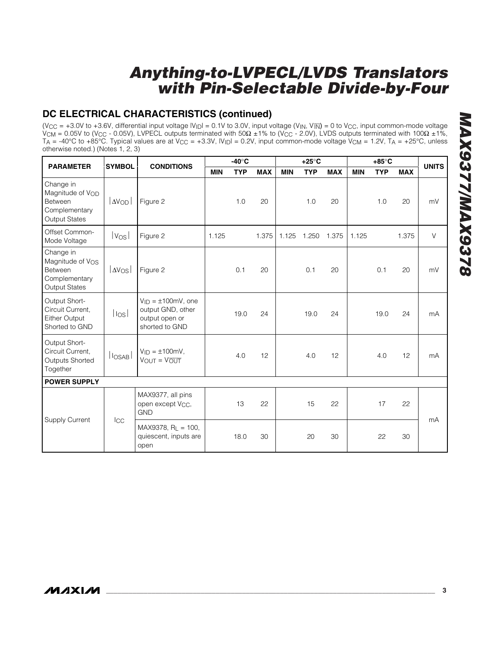## **DC ELECTRICAL CHARACTERISTICS (continued)**

(V<sub>CC</sub> = +3.0V to +3.6V, differential input voltage  $|V_{\text{ID}}|$  = 0.1V to 3.0V, input voltage (V<sub>IN</sub>, V<sub>IN</sub>) = 0 to V<sub>CC</sub>, input common-mode voltage V<sub>CM</sub> = 0.05V to (V<sub>CC</sub> - 0.05V), LVPECL outputs terminated with 50Ω ±1% to (V<sub>CC</sub> - 2.0V), LVDS outputs terminated with 100Ω ±1%,  $T_{A} = -40^{\circ}$ C to  $+85^{\circ}$ C. Typical values are at  $V_{CC} = +3.3V$ ,  $|V_{ID}| = 0.2V$ , input common-mode voltage  $V_{CM} = 1.2V$ ,  $T_{A} = +25^{\circ}$ C, unless otherwise noted.) (Notes 1, 2, 3)

| <b>SYMBOL</b><br><b>PARAMETER</b>                                                             |                       | <b>CONDITIONS</b>                                                                   | $-40^\circ C$ |            |            | $+25^{\circ}$ C |            |            | $+85^{\circ}$ C |            |            | <b>UNITS</b> |
|-----------------------------------------------------------------------------------------------|-----------------------|-------------------------------------------------------------------------------------|---------------|------------|------------|-----------------|------------|------------|-----------------|------------|------------|--------------|
|                                                                                               |                       |                                                                                     | <b>MIN</b>    | <b>TYP</b> | <b>MAX</b> | <b>MIN</b>      | <b>TYP</b> | <b>MAX</b> | <b>MIN</b>      | <b>TYP</b> | <b>MAX</b> |              |
| Change in<br>Magnitude of VOD<br>Between<br>Complementary<br><b>Output States</b>             | $ \Delta V_{\rm OD} $ | Figure 2                                                                            |               | 1.0        | 20         |                 | 1.0        | 20         |                 | 1.0        | 20         | mV           |
| Offset Common-<br>Mode Voltage                                                                | Vos                   | Figure 2                                                                            | 1.125         |            | 1.375      | 1.125           | 1.250      | 1.375      | 1.125           |            | 1.375      | $\vee$       |
| Change in<br>Magnitude of V <sub>OS</sub><br>Between<br>Complementary<br><b>Output States</b> | av <sub>os</sub>      | Figure 2                                                                            |               | 0.1        | 20         |                 | 0.1        | 20         |                 | 0.1        | 20         | mV           |
| Output Short-<br>Circuit Current,<br><b>Either Output</b><br>Shorted to GND                   | losl                  | $V_{ID} = \pm 100$ mV, one<br>output GND, other<br>output open or<br>shorted to GND |               | 19.0       | 24         |                 | 19.0       | 24         |                 | 19.0       | 24         | mA           |
| Output Short-<br>Circuit Current,<br><b>Outputs Shorted</b><br>Together                       | $ I_{OSAB} $          | $V_{ID} = \pm 100$ mV,<br>$V_{OUT} = V_{OUT}$                                       |               | 4.0        | 12         |                 | 4.0        | 12         |                 | 4.0        | 12         | mA           |
| <b>POWER SUPPLY</b>                                                                           |                       |                                                                                     |               |            |            |                 |            |            |                 |            |            |              |
|                                                                                               |                       | MAX9377, all pins<br>open except V <sub>CC</sub> ,<br><b>GND</b>                    |               | 13         | 22         |                 | 15         | 22         |                 | 17         | 22         | mA           |
| Supply Current                                                                                | Icc                   | $MAX9378, RL = 100,$<br>quiescent, inputs are<br>open                               |               | 18.0       | 30         |                 | 20         | 30         |                 | 22         | 30         |              |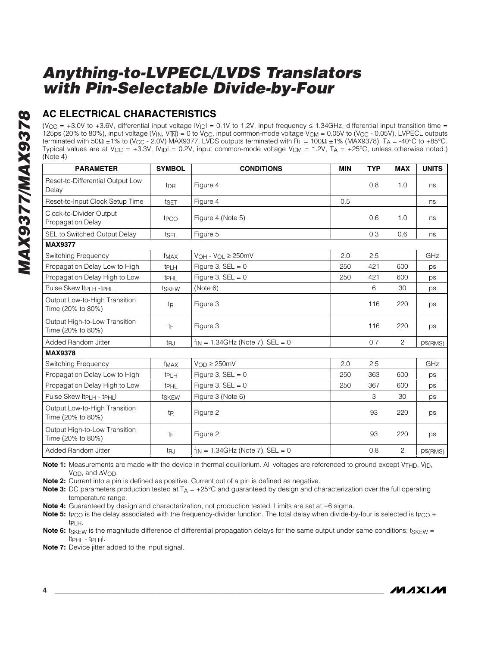## **AC ELECTRICAL CHARACTERISTICS**

(V<sub>CC</sub> = +3.0V to +3.6V, differential input voltage  $|V_{|D}| = 0.1V$  to 1.2V, input frequency  $\leq$  1.34GHz, differential input transition time = 125ps (20% to 80%), input voltage (V<sub>IN</sub>, V<sub>IN</sub>) = 0 to V<sub>CC</sub>, input common-mode voltage V<sub>CM</sub> = 0.05V to (V<sub>CC</sub> - 0.05V), LVPECL outputs terminated with 50Ω ±1% to (V<sub>CC</sub> - 2.0V) MAX9377, LVDS outputs terminated with  $\overline{R}_L = 100\Omega \pm 1\%$  (MAX9378), T<sub>A</sub> = -40°C to +85°C. Typical values are at  $V_{\rm CC}$  = +3.3V,  $|V_{\rm ID}|$  = 0.2V, input common-mode voltage  $V_{\rm CM}$  = 1.2V,  $T_{\rm A}$  = +25°C, unless otherwise noted.) (Note 4)

| <b>PARAMETER</b>                                   | <b>SYMBOL</b>          | <b>CONDITIONS</b>                     | <b>MIN</b> | <b>TYP</b> | <b>MAX</b>     | <b>UNITS</b> |
|----------------------------------------------------|------------------------|---------------------------------------|------------|------------|----------------|--------------|
| Reset-to-Differential Output Low<br>Delay          | <b>t</b> <sub>DR</sub> | Figure 4                              |            | 0.8        | 1.0            | ns           |
| Reset-to-Input Clock Setup Time                    | tset                   | Figure 4                              | 0.5        |            |                | ns           |
| Clock-to-Divider Output<br>Propagation Delay       | t <sub>PCO</sub>       | Figure 4 (Note 5)                     |            | 0.6        | 1.0            | ns           |
| SEL to Switched Output Delay                       | tsel                   | Figure 5                              |            | 0.3        | 0.6            | ns           |
| <b>MAX9377</b>                                     |                        |                                       |            |            |                |              |
| Switching Frequency                                | f <sub>MAX</sub>       | $V_{OH}$ - $V_{OL}$ $\geq$ 250mV      | 2.0        | 2.5        |                | GHz          |
| Propagation Delay Low to High                      | t <sub>PLH</sub>       | Figure 3, $SEL = 0$                   | 250        | 421        | 600            | ps           |
| Propagation Delay High to Low                      | <b>t</b> PHL           | Figure 3, $SEL = 0$                   | 250        | 421        | 600            | ps           |
| Pulse Skew Itpi H -tpHil                           | tskew                  | (Note 6)                              |            | 6          | 30             | ps           |
| Output Low-to-High Transition<br>Time (20% to 80%) | t <sub>R</sub>         | Figure 3                              |            | 116        | 220            | ps           |
| Output High-to-Low Transition<br>Time (20% to 80%) | tF                     | Figure 3                              |            | 116        | 220            | ps           |
| Added Random Jitter                                | t <sub>RJ</sub>        | $f_{IN} = 1.34$ GHz (Note 7), SEL = 0 |            | 0.7        | $\overline{2}$ | ps(RMS)      |
| <b>MAX9378</b>                                     |                        |                                       |            |            |                |              |
| Switching Frequency                                | f <sub>MAX</sub>       | $V_{OD} \geq 250$ mV                  | 2.0        | 2.5        |                | GHz          |
| Propagation Delay Low to High                      | t <sub>PLH</sub>       | Figure 3, $SEL = 0$                   | 250        | 363        | 600            | ps           |
| Propagation Delay High to Low                      | t <sub>PHL</sub>       | Figure 3, $SEL = 0$                   | 250        | 367        | 600            | ps           |
| Pulse Skew Itp н - tpн I                           | tskew                  | Figure 3 (Note 6)                     |            | 3          | 30             | ps           |
| Output Low-to-High Transition<br>Time (20% to 80%) | t <sub>R</sub>         | Figure 2                              |            | 93         | 220            | ps           |
| Output High-to-Low Transition<br>Time (20% to 80%) | tF                     | Figure 2                              |            | 93         | 220            | ps           |
| Added Random Jitter                                | t <sub>RJ</sub>        | $f_{IN} = 1.34$ GHz (Note 7), SEL = 0 |            | 0.8        | $\overline{2}$ | ps(RMS)      |

**Note 1:** Measurements are made with the device in thermal equilibrium. All voltages are referenced to ground except V<sub>THD</sub>, V<sub>ID</sub>, V<sub>OD</sub>, and ∆V<sub>OD</sub>.

**Note 2:** Current into a pin is defined as positive. Current out of a pin is defined as negative.

**Note 3:** DC parameters production tested at T<sub>A</sub> = +25°C and guaranteed by design and characterization over the full operating temperature range.

**Note 4:** Guaranteed by design and characterization, not production tested. Limits are set at ±6 sigma.

**Note 5:** t<sub>PCO</sub> is the delay associated with the frequency-divider function. The total delay when divide-by-four is selected is t<sub>PCO</sub> + tPLH.

**Note 6:** t<sub>SKEW</sub> is the magnitude difference of differential propagation delays for the same output under same conditions; tskFW = |tPHL - tPLH|.

**Note 7:** Device jitter added to the input signal.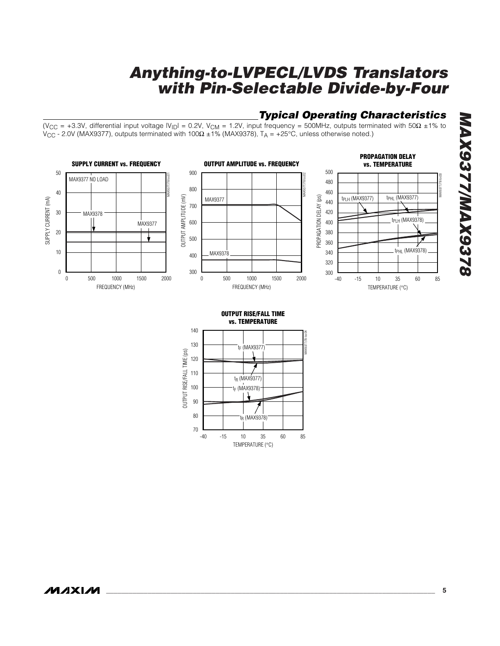## *Typical Operating Characteristics*

*MAX9377/MAX9378*

**8226XVW/2268XVW** 

(V<sub>CC</sub> = +3.3V, differential input voltage  $|V_{\text{ID}}|$  = 0.2V, V<sub>CM</sub> = 1.2V, input frequency = 500MHz, outputs terminated with 50 $\Omega$  ±1% to VCC - 2.0V (MAX9377), outputs terminated with 100Ω ±1% (MAX9378), TA = +25°C, unless otherwise noted.)



**\_\_\_\_\_\_\_\_\_\_\_\_\_\_\_\_\_\_\_\_\_\_\_\_\_\_\_\_\_\_\_\_\_\_\_\_\_\_\_\_\_\_\_\_\_\_\_\_\_\_\_\_\_\_\_\_\_\_\_\_\_\_\_\_\_\_\_\_\_\_\_\_\_\_\_\_\_\_\_\_\_\_\_\_\_\_\_ 5**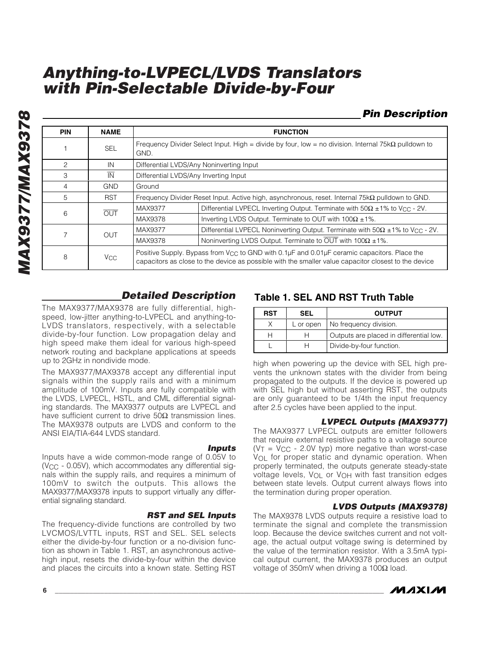#### *Pin Description*

| <b>PIN</b>    | <b>NAME</b>            |                                                                                                                                                                                                                 | <b>FUNCTION</b>                                                                                             |  |  |  |  |  |
|---------------|------------------------|-----------------------------------------------------------------------------------------------------------------------------------------------------------------------------------------------------------------|-------------------------------------------------------------------------------------------------------------|--|--|--|--|--|
|               | <b>SEL</b>             | GND.                                                                                                                                                                                                            | Frequency Divider Select Input. High = divide by four, low = no division. Internal 75k $\Omega$ pulldown to |  |  |  |  |  |
| $\mathcal{P}$ | IN                     |                                                                                                                                                                                                                 | Differential LVDS/Any Noninverting Input                                                                    |  |  |  |  |  |
| 3             | $\overline{\text{IN}}$ | Differential LVDS/Any Inverting Input                                                                                                                                                                           |                                                                                                             |  |  |  |  |  |
| 4             | <b>GND</b>             | Ground                                                                                                                                                                                                          |                                                                                                             |  |  |  |  |  |
| 5             | <b>RST</b>             |                                                                                                                                                                                                                 | Frequency Divider Reset Input. Active high, asynchronous, reset. Internal $75k\Omega$ pulldown to GND.      |  |  |  |  |  |
| 6             | OUT                    | MAX9377                                                                                                                                                                                                         | Differential LVPECL Inverting Output. Terminate with $50\Omega \pm 1\%$ to V <sub>CC</sub> - 2V.            |  |  |  |  |  |
|               |                        | MAX9378                                                                                                                                                                                                         | Inverting LVDS Output. Terminate to OUT with $100\Omega \pm 1\%$ .                                          |  |  |  |  |  |
|               | OUT                    | MAX9377                                                                                                                                                                                                         | Differential LVPECL Noninverting Output. Terminate with $50\Omega \pm 1\%$ to V <sub>CC</sub> - 2V.         |  |  |  |  |  |
|               |                        | MAX9378                                                                                                                                                                                                         | Noninverting LVDS Output. Terminate to $\overline{OUT}$ with 100 $\Omega \pm 1\%$ .                         |  |  |  |  |  |
| 8             | <b>V<sub>CC</sub></b>  | Positive Supply. Bypass from V <sub>CC</sub> to GND with 0.1µF and 0.01µF ceramic capacitors. Place the<br>capacitors as close to the device as possible with the smaller value capacitor closest to the device |                                                                                                             |  |  |  |  |  |

### *Detailed Description*

The MAX9377/MAX9378 are fully differential, highspeed, low-jitter anything-to-LVPECL and anything-to-LVDS translators, respectively, with a selectable divide-by-four function. Low propagation delay and high speed make them ideal for various high-speed network routing and backplane applications at speeds up to 2GHz in nondivide mode.

The MAX9377/MAX9378 accept any differential input signals within the supply rails and with a minimum amplitude of 100mV. Inputs are fully compatible with the LVDS, LVPECL, HSTL, and CML differential signaling standards. The MAX9377 outputs are LVPECL and have sufficient current to drive  $50\Omega$  transmission lines. The MAX9378 outputs are LVDS and conform to the ANSI EIA/TIA-644 LVDS standard.

#### *Inputs*

Inputs have a wide common-mode range of 0.05V to (VCC - 0.05V), which accommodates any differential signals within the supply rails, and requires a minimum of 100mV to switch the outputs. This allows the MAX9377/MAX9378 inputs to support virtually any differential signaling standard.

#### *RST and SEL Inputs*

The frequency-divide functions are controlled by two LVCMOS/LVTTL inputs, RST and SEL. SEL selects either the divide-by-four function or a no-division function as shown in Table 1. RST, an asynchronous activehigh input, resets the divide-by-four within the device and places the circuits into a known state. Setting RST

### **Table 1. SEL AND RST Truth Table**

| <b>RST</b> | SEL       | <b>OUTPUT</b>                           |
|------------|-----------|-----------------------------------------|
|            | L or open | No frequency division.                  |
|            |           | Outputs are placed in differential low. |
|            | н         | Divide-by-four function.                |

high when powering up the device with SEL high prevents the unknown states with the divider from being propagated to the outputs. If the device is powered up with SEL high but without asserting RST, the outputs are only guaranteed to be 1/4th the input frequency after 2.5 cycles have been applied to the input.

#### *LVPECL Outputs (MAX9377)*

The MAX9377 LVPECL outputs are emitter followers that require external resistive paths to a voltage source  $(V<sub>T</sub> = V<sub>CC</sub> - 2.0V$  typ) more negative than worst-case V<sub>OL</sub> for proper static and dynamic operation. When properly terminated, the outputs generate steady-state voltage levels, VOL or VOH with fast transition edges between state levels. Output current always flows into the termination during proper operation.

#### *LVDS Outputs (MAX9378)*

The MAX9378 LVDS outputs require a resistive load to terminate the signal and complete the transmission loop. Because the device switches current and not voltage, the actual output voltage swing is determined by the value of the termination resistor. With a 3.5mA typical output current, the MAX9378 produces an output voltage of 350mV when driving a 100 $Ω$  load.

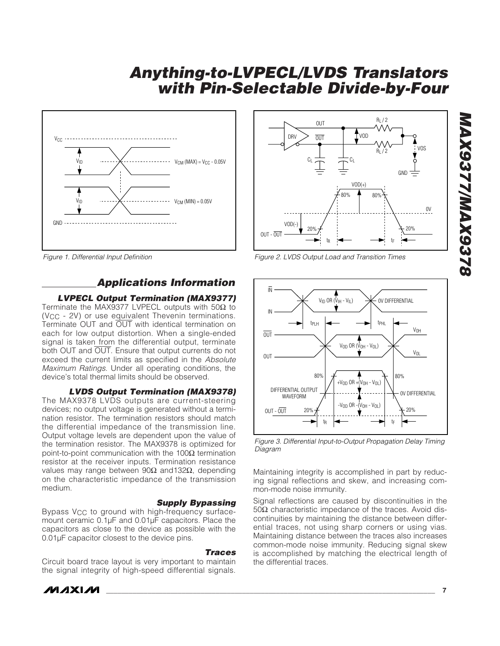

*Figure 1. Differential Input Definition*

#### *Applications Information*

#### *LVPECL Output Termination (MAX9377)*

Terminate the MAX9377 LVPECL outputs with 50 $\Omega$  to  $(V<sub>CC</sub> - 2V)$  or use equivalent Thevenin terminations. Terminate OUT and OUT with identical termination on each for low output distortion. When a single-ended signal is taken from the differential output, terminate both OUT and OUT. Ensure that output currents do not exceed the current limits as specified in the *Absolute Maximum Ratings*. Under all operating conditions, the device's total thermal limits should be observed.

#### *LVDS Output Termination (MAX9378)*

The MAX9378 LVDS outputs are current-steering devices; no output voltage is generated without a termination resistor. The termination resistors should match the differential impedance of the transmission line. Output voltage levels are dependent upon the value of the termination resistor. The MAX9378 is optimized for point-to-point communication with the 100 $Ω$  termination resistor at the receiver inputs. Termination resistance values may range between 90Ω and132Ω, depending on the characteristic impedance of the transmission medium.

#### *Supply Bypassing*

Bypass V<sub>CC</sub> to ground with high-frequency surfacemount ceramic 0.1µF and 0.01µF capacitors. Place the capacitors as close to the device as possible with the 0.01µF capacitor closest to the device pins.

#### *Traces*

Circuit board trace layout is very important to maintain the signal integrity of high-speed differential signals.





*Figure 2. LVDS Output Load and Transition Times*



*Figure 3. Differential Input-to-Output Propagation Delay Timing Diagram*

Maintaining integrity is accomplished in part by reducing signal reflections and skew, and increasing common-mode noise immunity.

Signal reflections are caused by discontinuities in the 50Ω characteristic impedance of the traces. Avoid discontinuities by maintaining the distance between differential traces, not using sharp corners or using vias. Maintaining distance between the traces also increases common-mode noise immunity. Reducing signal skew is accomplished by matching the electrical length of the differential traces.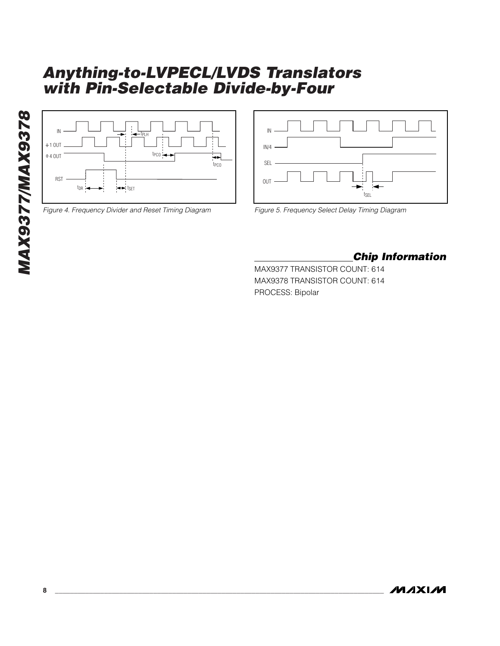

*Figure 4. Frequency Divider and Reset Timing Diagram*



*Figure 5. Frequency Select Delay Timing Diagram*

### *Chip Information*

MAX9377 TRANSISTOR COUNT: 614 MAX9378 TRANSISTOR COUNT: 614 PROCESS: Bipolar